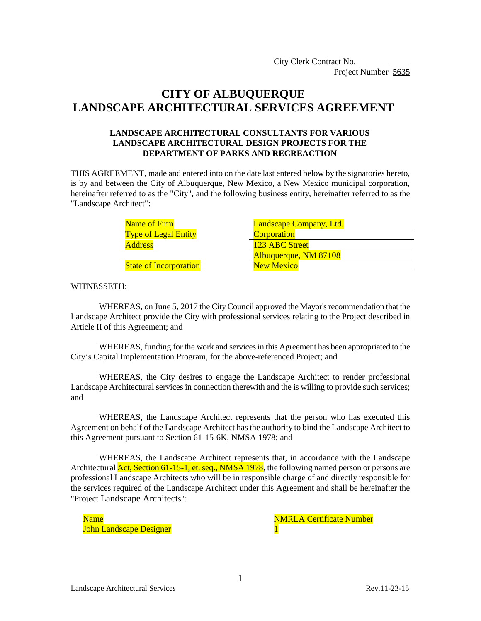# **CITY OF ALBUQUERQUE LANDSCAPE ARCHITECTURAL SERVICES AGREEMENT**

#### **LANDSCAPE ARCHITECTURAL CONSULTANTS FOR VARIOUS LANDSCAPE ARCHITECTURAL DESIGN PROJECTS FOR THE DEPARTMENT OF PARKS AND RECREACTION**

THIS AGREEMENT, made and entered into on the date last entered below by the signatories hereto, is by and between the City of Albuquerque, New Mexico, a New Mexico municipal corporation, hereinafter referred to as the "City"**,** and the following business entity, hereinafter referred to as the "Landscape Architect":

> Name of Firm **Type of Legal Entity Address**

State of Incorporation

| Landscape Company, Ltd. |  |  |
|-------------------------|--|--|
| <b>Corporation</b>      |  |  |
| 123 ABC Street          |  |  |
| Albuquerque, NM 87108   |  |  |
| <b>New Mexico</b>       |  |  |

#### WITNESSETH:

WHEREAS, on June 5, 2017 the CityCouncil approved the Mayor's recommendation that the Landscape Architect provide the City with professional services relating to the Project described in Article II of this Agreement; and

WHEREAS, funding for the work and services in this Agreement has been appropriated to the City's Capital Implementation Program, for the above-referenced Project; and

WHEREAS, the City desires to engage the Landscape Architect to render professional Landscape Architectural services in connection therewith and the is willing to provide such services; and

WHEREAS, the Landscape Architect represents that the person who has executed this Agreement on behalf of the Landscape Architect has the authority to bind the Landscape Architect to this Agreement pursuant to Section 61-15-6K, NMSA 1978; and

WHEREAS, the Landscape Architect represents that, in accordance with the Landscape Architectural **Act, Section 61-15-1, et. seq., NMSA 1978**, the following named person or persons are professional Landscape Architects who will be in responsible charge of and directly responsible for the services required of the Landscape Architect under this Agreement and shall be hereinafter the "Project Landscape Architects":

John Landscape Designer 1

Name Name Note to the Second Second Second Second Second Number Number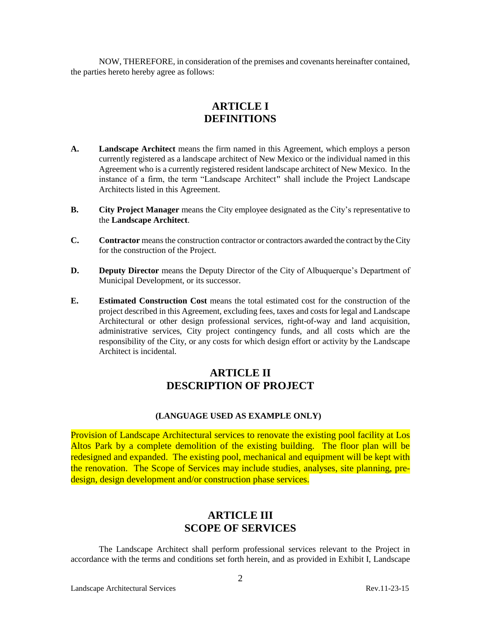NOW, THEREFORE, in consideration of the premises and covenants hereinafter contained, the parties hereto hereby agree as follows:

### **ARTICLE I DEFINITIONS**

- **A. Landscape Architect** means the firm named in this Agreement, which employs a person currently registered as a landscape architect of New Mexico or the individual named in this Agreement who is a currently registered resident landscape architect of New Mexico. In the instance of a firm, the term "Landscape Architect**"** shall include the Project Landscape Architects listed in this Agreement.
- **B. City Project Manager** means the City employee designated as the City's representative to the **Landscape Architect**.
- **C. Contractor** means the construction contractor or contractors awarded the contract by the City for the construction of the Project.
- **D. Deputy Director** means the Deputy Director of the City of Albuquerque's Department of Municipal Development, or its successor.
- **E. Estimated Construction Cost** means the total estimated cost for the construction of the project described in this Agreement, excluding fees, taxes and costs for legal and Landscape Architectural or other design professional services, right-of-way and land acquisition, administrative services, City project contingency funds, and all costs which are the responsibility of the City, or any costs for which design effort or activity by the Landscape Architect is incidental.

### **ARTICLE II DESCRIPTION OF PROJECT**

#### **(LANGUAGE USED AS EXAMPLE ONLY)**

Provision of Landscape Architectural services to renovate the existing pool facility at Los Altos Park by a complete demolition of the existing building. The floor plan will be redesigned and expanded. The existing pool, mechanical and equipment will be kept with the renovation. The Scope of Services may include studies, analyses, site planning, predesign, design development and/or construction phase services.

### **ARTICLE III SCOPE OF SERVICES**

The Landscape Architect shall perform professional services relevant to the Project in accordance with the terms and conditions set forth herein, and as provided in Exhibit I, Landscape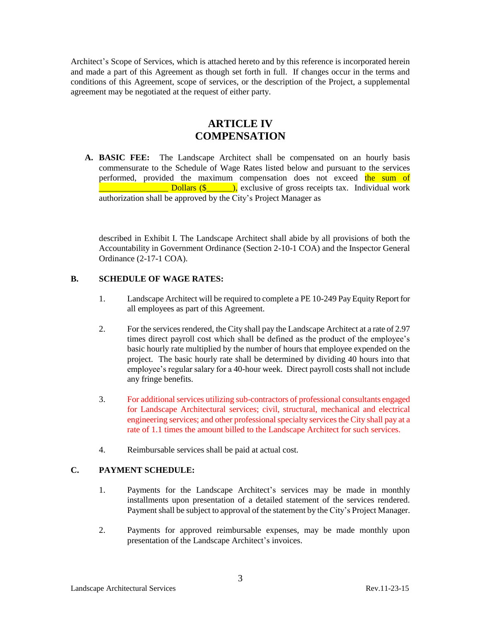Architect's Scope of Services, which is attached hereto and by this reference is incorporated herein and made a part of this Agreement as though set forth in full. If changes occur in the terms and conditions of this Agreement, scope of services, or the description of the Project, a supplemental agreement may be negotiated at the request of either party.

### **ARTICLE IV COMPENSATION**

**A. BASIC FEE:** The Landscape Architect shall be compensated on an hourly basis commensurate to the Schedule of Wage Rates listed below and pursuant to the services performed, provided the maximum compensation does not exceed the sum of **Dollars (** $\frac{\ }{\ }$ **),** exclusive of gross receipts tax. Individual work authorization shall be approved by the City's Project Manager as

described in Exhibit I. The Landscape Architect shall abide by all provisions of both the Accountability in Government Ordinance (Section 2-10-1 COA) and the Inspector General Ordinance (2-17-1 COA).

#### **B. SCHEDULE OF WAGE RATES:**

- 1. Landscape Architect will be required to complete a PE 10-249 Pay Equity Report for all employees as part of this Agreement.
- 2. For the services rendered, the City shall pay the Landscape Architect at a rate of 2.97 times direct payroll cost which shall be defined as the product of the employee's basic hourly rate multiplied by the number of hours that employee expended on the project. The basic hourly rate shall be determined by dividing 40 hours into that employee's regular salary for a 40-hour week. Direct payroll costs shall not include any fringe benefits.
- 3. For additional services utilizing sub-contractors of professional consultants engaged for Landscape Architectural services; civil, structural, mechanical and electrical engineering services; and other professional specialty services the City shall pay at a rate of 1.1 times the amount billed to the Landscape Architect for such services.
- 4. Reimbursable services shall be paid at actual cost.

#### **C. PAYMENT SCHEDULE:**

- 1. Payments for the Landscape Architect's services may be made in monthly installments upon presentation of a detailed statement of the services rendered. Payment shall be subject to approval of the statement by the City's Project Manager.
- 2. Payments for approved reimbursable expenses, may be made monthly upon presentation of the Landscape Architect's invoices.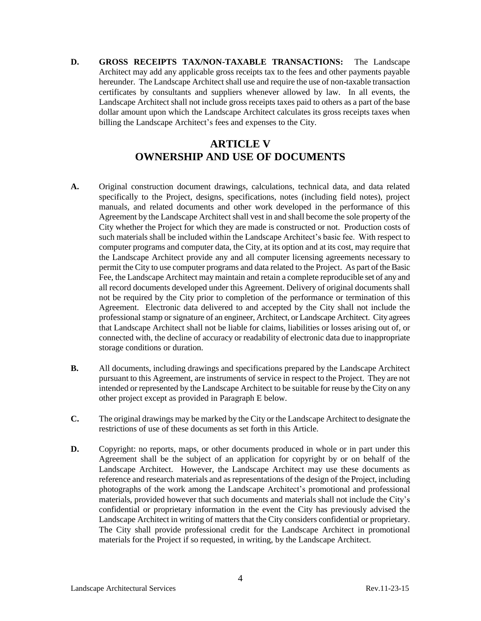**D. GROSS RECEIPTS TAX/NON-TAXABLE TRANSACTIONS:** The Landscape Architect may add any applicable gross receipts tax to the fees and other payments payable hereunder. The Landscape Architect shall use and require the use of non-taxable transaction certificates by consultants and suppliers whenever allowed by law. In all events, the Landscape Architect shall not include gross receipts taxes paid to others as a part of the base dollar amount upon which the Landscape Architect calculates its gross receipts taxes when billing the Landscape Architect's fees and expenses to the City.

# **ARTICLE V OWNERSHIP AND USE OF DOCUMENTS**

- **A.** Original construction document drawings, calculations, technical data, and data related specifically to the Project, designs, specifications, notes (including field notes), project manuals, and related documents and other work developed in the performance of this Agreement by the Landscape Architect shall vest in and shall become the sole property of the City whether the Project for which they are made is constructed or not. Production costs of such materials shall be included within the Landscape Architect's basic fee. With respect to computer programs and computer data, the City, at its option and at its cost, may require that the Landscape Architect provide any and all computer licensing agreements necessary to permit the City to use computer programs and data related to the Project. As part of the Basic Fee, the Landscape Architect may maintain and retain a complete reproducible set of any and all record documents developed under this Agreement. Delivery of original documents shall not be required by the City prior to completion of the performance or termination of this Agreement. Electronic data delivered to and accepted by the City shall not include the professional stamp or signature of an engineer, Architect, or Landscape Architect. City agrees that Landscape Architect shall not be liable for claims, liabilities or losses arising out of, or connected with, the decline of accuracy or readability of electronic data due to inappropriate storage conditions or duration.
- **B.** All documents, including drawings and specifications prepared by the Landscape Architect pursuant to this Agreement, are instruments of service in respect to the Project. They are not intended or represented by the Landscape Architect to be suitable for reuse by the City on any other project except as provided in Paragraph E below.
- **C.** The original drawings may be marked by the City or the Landscape Architect to designate the restrictions of use of these documents as set forth in this Article.
- **D.** Copyright: no reports, maps, or other documents produced in whole or in part under this Agreement shall be the subject of an application for copyright by or on behalf of the Landscape Architect. However, the Landscape Architect may use these documents as reference and research materials and as representations of the design of the Project, including photographs of the work among the Landscape Architect's promotional and professional materials, provided however that such documents and materials shall not include the City's confidential or proprietary information in the event the City has previously advised the Landscape Architect in writing of matters that the City considers confidential or proprietary. The City shall provide professional credit for the Landscape Architect in promotional materials for the Project if so requested, in writing, by the Landscape Architect.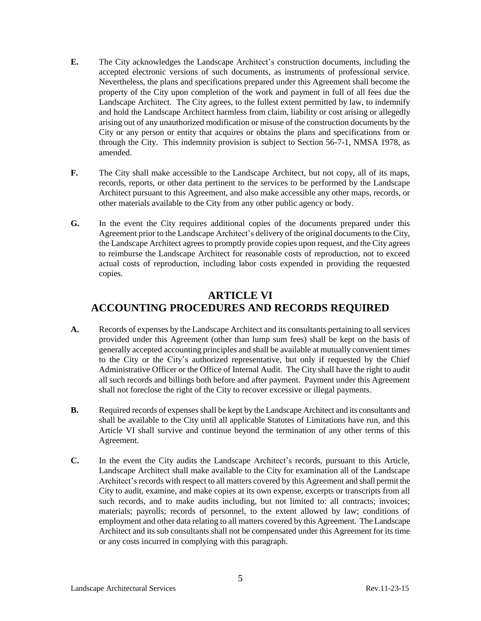- **E.** The City acknowledges the Landscape Architect's construction documents, including the accepted electronic versions of such documents, as instruments of professional service. Nevertheless, the plans and specifications prepared under this Agreement shall become the property of the City upon completion of the work and payment in full of all fees due the Landscape Architect. The City agrees, to the fullest extent permitted by law, to indemnify and hold the Landscape Architect harmless from claim, liability or cost arising or allegedly arising out of any unauthorized modification or misuse of the construction documents by the City or any person or entity that acquires or obtains the plans and specifications from or through the City. This indemnity provision is subject to Section 56-7-1, NMSA 1978, as amended.
- **F.** The City shall make accessible to the Landscape Architect, but not copy, all of its maps, records, reports, or other data pertinent to the services to be performed by the Landscape Architect pursuant to this Agreement, and also make accessible any other maps, records, or other materials available to the City from any other public agency or body.
- **G.** In the event the City requires additional copies of the documents prepared under this Agreement prior to the Landscape Architect's delivery of the original documents to the City, the Landscape Architect agrees to promptly provide copies upon request, and the City agrees to reimburse the Landscape Architect for reasonable costs of reproduction, not to exceed actual costs of reproduction, including labor costs expended in providing the requested copies.

# **ARTICLE VI ACCOUNTING PROCEDURES AND RECORDS REQUIRED**

- **A.** Records of expenses by the Landscape Architect and its consultants pertaining to all services provided under this Agreement (other than lump sum fees) shall be kept on the basis of generally accepted accounting principles and shall be available at mutually convenient times to the City or the City's authorized representative, but only if requested by the Chief Administrative Officer or the Office of Internal Audit. The City shall have the right to audit all such records and billings both before and after payment. Payment under this Agreement shall not foreclose the right of the City to recover excessive or illegal payments.
- **B.** Required records of expenses shall be kept by the Landscape Architect and its consultants and shall be available to the City until all applicable Statutes of Limitations have run, and this Article VI shall survive and continue beyond the termination of any other terms of this Agreement.
- **C.** In the event the City audits the Landscape Architect's records, pursuant to this Article, Landscape Architect shall make available to the City for examination all of the Landscape Architect's records with respect to all matters covered by this Agreement and shall permit the City to audit, examine, and make copies at its own expense, excerpts or transcripts from all such records, and to make audits including, but not limited to: all contracts; invoices; materials; payrolls; records of personnel, to the extent allowed by law; conditions of employment and other data relating to all matters covered by this Agreement. The Landscape Architect and its sub consultants shall not be compensated under this Agreement for its time or any costs incurred in complying with this paragraph.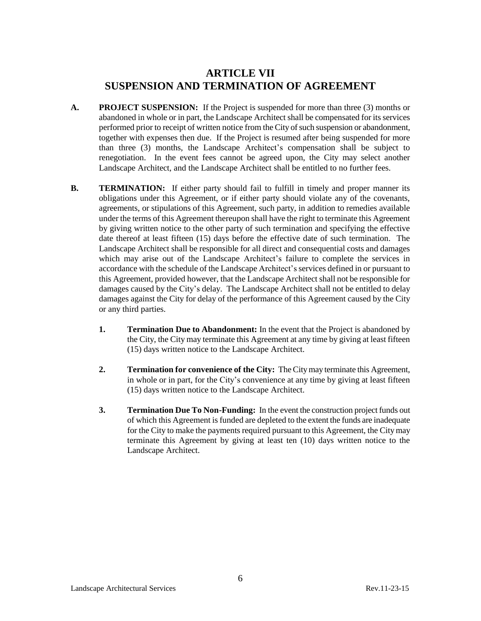### **ARTICLE VII SUSPENSION AND TERMINATION OF AGREEMENT**

- **A. PROJECT SUSPENSION:** If the Project is suspended for more than three (3) months or abandoned in whole or in part, the Landscape Architect shall be compensated for its services performed prior to receipt of written notice from the City of such suspension or abandonment, together with expenses then due. If the Project is resumed after being suspended for more than three (3) months, the Landscape Architect's compensation shall be subject to renegotiation. In the event fees cannot be agreed upon, the City may select another Landscape Architect, and the Landscape Architect shall be entitled to no further fees.
- **B. TERMINATION:** If either party should fail to fulfill in timely and proper manner its obligations under this Agreement, or if either party should violate any of the covenants, agreements, or stipulations of this Agreement, such party, in addition to remedies available under the terms of this Agreement thereupon shall have the right to terminate this Agreement by giving written notice to the other party of such termination and specifying the effective date thereof at least fifteen (15) days before the effective date of such termination. The Landscape Architect shall be responsible for all direct and consequential costs and damages which may arise out of the Landscape Architect's failure to complete the services in accordance with the schedule of the Landscape Architect's services defined in or pursuant to this Agreement, provided however, that the Landscape Architect shall not be responsible for damages caused by the City's delay. The Landscape Architect shall not be entitled to delay damages against the City for delay of the performance of this Agreement caused by the City or any third parties.
	- **1. Termination Due to Abandonment:** In the event that the Project is abandoned by the City, the City may terminate this Agreement at any time by giving at least fifteen (15) days written notice to the Landscape Architect.
	- **2. Termination for convenience of the City:** The City may terminate this Agreement, in whole or in part, for the City's convenience at any time by giving at least fifteen (15) days written notice to the Landscape Architect.
	- **3. Termination Due To Non-Funding:** In the event the construction project funds out of which this Agreement is funded are depleted to the extent the funds are inadequate for the City to make the payments required pursuant to this Agreement, the City may terminate this Agreement by giving at least ten (10) days written notice to the Landscape Architect.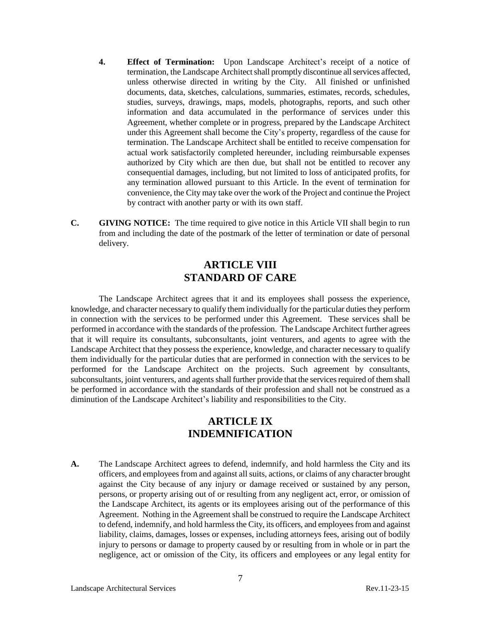- **4. Effect of Termination:** Upon Landscape Architect's receipt of a notice of termination, the Landscape Architect shall promptly discontinue all services affected, unless otherwise directed in writing by the City. All finished or unfinished documents, data, sketches, calculations, summaries, estimates, records, schedules, studies, surveys, drawings, maps, models, photographs, reports, and such other information and data accumulated in the performance of services under this Agreement, whether complete or in progress, prepared by the Landscape Architect under this Agreement shall become the City's property, regardless of the cause for termination. The Landscape Architect shall be entitled to receive compensation for actual work satisfactorily completed hereunder, including reimbursable expenses authorized by City which are then due, but shall not be entitled to recover any consequential damages, including, but not limited to loss of anticipated profits, for any termination allowed pursuant to this Article. In the event of termination for convenience, the City may take over the work of the Project and continue the Project by contract with another party or with its own staff.
- **C. GIVING NOTICE:** The time required to give notice in this Article VII shall begin to run from and including the date of the postmark of the letter of termination or date of personal delivery.

# **ARTICLE VIII STANDARD OF CARE**

The Landscape Architect agrees that it and its employees shall possess the experience, knowledge, and character necessary to qualify them individually for the particular duties they perform in connection with the services to be performed under this Agreement. These services shall be performed in accordance with the standards of the profession. The Landscape Architect further agrees that it will require its consultants, subconsultants, joint venturers, and agents to agree with the Landscape Architect that they possess the experience, knowledge, and character necessary to qualify them individually for the particular duties that are performed in connection with the services to be performed for the Landscape Architect on the projects. Such agreement by consultants, subconsultants, joint venturers, and agents shall further provide that the services required of them shall be performed in accordance with the standards of their profession and shall not be construed as a diminution of the Landscape Architect's liability and responsibilities to the City.

# **ARTICLE IX INDEMNIFICATION**

**A.** The Landscape Architect agrees to defend, indemnify, and hold harmless the City and its officers, and employees from and against all suits, actions, or claims of any character brought against the City because of any injury or damage received or sustained by any person, persons, or property arising out of or resulting from any negligent act, error, or omission of the Landscape Architect, its agents or its employees arising out of the performance of this Agreement. Nothing in the Agreement shall be construed to require the Landscape Architect to defend, indemnify, and hold harmless the City, its officers, and employees from and against liability, claims, damages, losses or expenses, including attorneys fees, arising out of bodily injury to persons or damage to property caused by or resulting from in whole or in part the negligence, act or omission of the City, its officers and employees or any legal entity for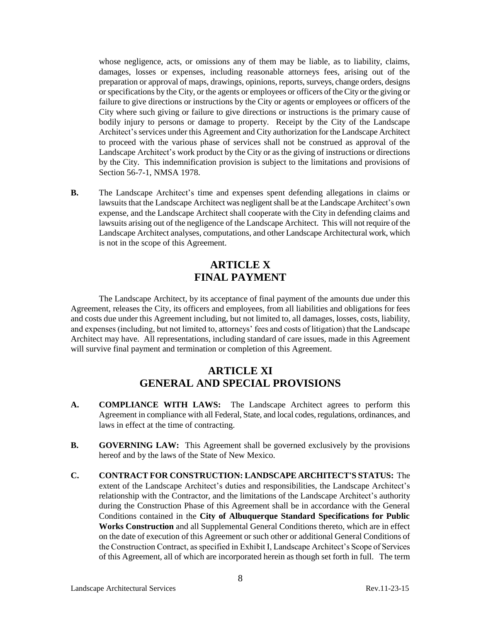whose negligence, acts, or omissions any of them may be liable, as to liability, claims, damages, losses or expenses, including reasonable attorneys fees, arising out of the preparation or approval of maps, drawings, opinions, reports, surveys, change orders, designs or specifications by the City, or the agents or employees or officers of the City or the giving or failure to give directions or instructions by the City or agents or employees or officers of the City where such giving or failure to give directions or instructions is the primary cause of bodily injury to persons or damage to property. Receipt by the City of the Landscape Architect'sservices under this Agreement and City authorization for the Landscape Architect to proceed with the various phase of services shall not be construed as approval of the Landscape Architect's work product by the City or as the giving of instructions or directions by the City. This indemnification provision is subject to the limitations and provisions of Section 56-7-1, NMSA 1978.

**B.** The Landscape Architect's time and expenses spent defending allegations in claims or lawsuits that the Landscape Architect was negligent shall be at the Landscape Architect's own expense, and the Landscape Architect shall cooperate with the City in defending claims and lawsuits arising out of the negligence of the Landscape Architect. This will not require of the Landscape Architect analyses, computations, and other Landscape Architectural work, which is not in the scope of this Agreement.

# **ARTICLE X FINAL PAYMENT**

The Landscape Architect, by its acceptance of final payment of the amounts due under this Agreement, releases the City, its officers and employees, from all liabilities and obligations for fees and costs due under this Agreement including, but not limited to, all damages, losses, costs, liability, and expenses (including, but not limited to, attorneys' fees and costs of litigation) that the Landscape Architect may have. All representations, including standard of care issues, made in this Agreement will survive final payment and termination or completion of this Agreement.

## **ARTICLE XI GENERAL AND SPECIAL PROVISIONS**

- **A. COMPLIANCE WITH LAWS:** The Landscape Architect agrees to perform this Agreement in compliance with all Federal, State, and local codes, regulations, ordinances, and laws in effect at the time of contracting.
- **B. GOVERNING LAW:** This Agreement shall be governed exclusively by the provisions hereof and by the laws of the State of New Mexico.
- **C. CONTRACT FOR CONSTRUCTION: LANDSCAPE ARCHITECT'S STATUS:** The extent of the Landscape Architect's duties and responsibilities, the Landscape Architect's relationship with the Contractor, and the limitations of the Landscape Architect's authority during the Construction Phase of this Agreement shall be in accordance with the General Conditions contained in the **City of Albuquerque Standard Specifications for Public Works Construction** and all Supplemental General Conditions thereto, which are in effect on the date of execution of this Agreement or such other or additional General Conditions of the Construction Contract, as specified in Exhibit I, Landscape Architect's Scope of Services of this Agreement, all of which are incorporated herein as though set forth in full. The term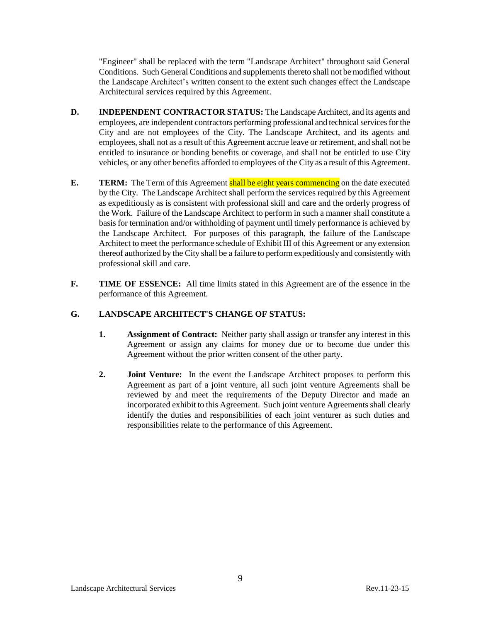"Engineer" shall be replaced with the term "Landscape Architect" throughout said General Conditions. Such General Conditions and supplements thereto shall not be modified without the Landscape Architect's written consent to the extent such changes effect the Landscape Architectural services required by this Agreement.

- **D. INDEPENDENT CONTRACTOR STATUS:** The Landscape Architect, and its agents and employees, are independent contractors performing professional and technical services for the City and are not employees of the City. The Landscape Architect, and its agents and employees, shall not as a result of this Agreement accrue leave or retirement, and shall not be entitled to insurance or bonding benefits or coverage, and shall not be entitled to use City vehicles, or any other benefits afforded to employees of the City as a result of this Agreement.
- **E. TERM:** The Term of this Agreement **shall be eight years commencing** on the date executed by the City. The Landscape Architect shall perform the services required by this Agreement as expeditiously as is consistent with professional skill and care and the orderly progress of the Work. Failure of the Landscape Architect to perform in such a manner shall constitute a basis for termination and/or withholding of payment until timely performance is achieved by the Landscape Architect. For purposes of this paragraph, the failure of the Landscape Architect to meet the performance schedule of Exhibit III of this Agreement or any extension thereof authorized by the City shall be a failure to perform expeditiously and consistently with professional skill and care.
- **F. TIME OF ESSENCE:** All time limits stated in this Agreement are of the essence in the performance of this Agreement.

#### **G. LANDSCAPE ARCHITECT'S CHANGE OF STATUS:**

- **1. Assignment of Contract:** Neither party shall assign or transfer any interest in this Agreement or assign any claims for money due or to become due under this Agreement without the prior written consent of the other party.
- **2. Joint Venture:** In the event the Landscape Architect proposes to perform this Agreement as part of a joint venture, all such joint venture Agreements shall be reviewed by and meet the requirements of the Deputy Director and made an incorporated exhibit to this Agreement. Such joint venture Agreements shall clearly identify the duties and responsibilities of each joint venturer as such duties and responsibilities relate to the performance of this Agreement.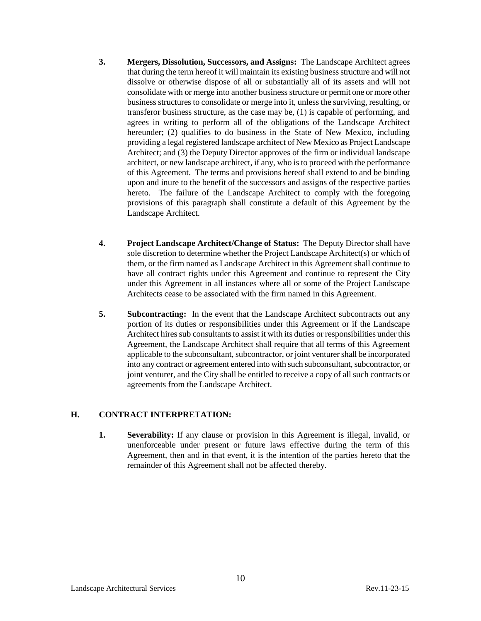- **3. Mergers, Dissolution, Successors, and Assigns:** The Landscape Architect agrees that during the term hereof it will maintain its existing business structure and will not dissolve or otherwise dispose of all or substantially all of its assets and will not consolidate with or merge into another business structure or permit one or more other business structures to consolidate or merge into it, unless the surviving, resulting, or transferor business structure, as the case may be, (1) is capable of performing, and agrees in writing to perform all of the obligations of the Landscape Architect hereunder; (2) qualifies to do business in the State of New Mexico, including providing a legal registered landscape architect of New Mexico as Project Landscape Architect; and (3) the Deputy Director approves of the firm or individual landscape architect, or new landscape architect, if any, who is to proceed with the performance of this Agreement. The terms and provisions hereof shall extend to and be binding upon and inure to the benefit of the successors and assigns of the respective parties hereto. The failure of the Landscape Architect to comply with the foregoing provisions of this paragraph shall constitute a default of this Agreement by the Landscape Architect.
- **4. Project Landscape Architect/Change of Status:** The Deputy Director shall have sole discretion to determine whether the Project Landscape Architect(s) or which of them, or the firm named as Landscape Architect in this Agreement shall continue to have all contract rights under this Agreement and continue to represent the City under this Agreement in all instances where all or some of the Project Landscape Architects cease to be associated with the firm named in this Agreement.
- **5. Subcontracting:** In the event that the Landscape Architect subcontracts out any portion of its duties or responsibilities under this Agreement or if the Landscape Architect hires sub consultants to assist it with its duties or responsibilities under this Agreement, the Landscape Architect shall require that all terms of this Agreement applicable to the subconsultant, subcontractor, or joint venturer shall be incorporated into any contract or agreement entered into with such subconsultant, subcontractor, or joint venturer, and the City shall be entitled to receive a copy of all such contracts or agreements from the Landscape Architect.

#### **H. CONTRACT INTERPRETATION:**

**1. Severability:** If any clause or provision in this Agreement is illegal, invalid, or unenforceable under present or future laws effective during the term of this Agreement, then and in that event, it is the intention of the parties hereto that the remainder of this Agreement shall not be affected thereby.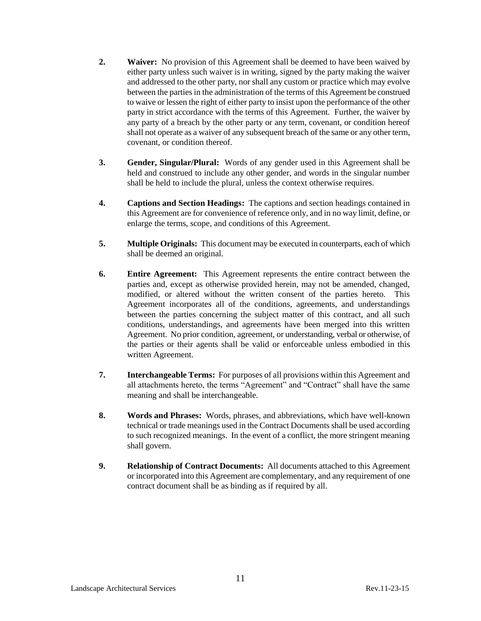- **2. Waiver:** No provision of this Agreement shall be deemed to have been waived by either party unless such waiver is in writing, signed by the party making the waiver and addressed to the other party, nor shall any custom or practice which may evolve between the parties in the administration of the terms of this Agreement be construed to waive or lessen the right of either party to insist upon the performance of the other party in strict accordance with the terms of this Agreement. Further, the waiver by any party of a breach by the other party or any term, covenant, or condition hereof shall not operate as a waiver of any subsequent breach of the same or any other term, covenant, or condition thereof.
- **3. Gender, Singular/Plural:** Words of any gender used in this Agreement shall be held and construed to include any other gender, and words in the singular number shall be held to include the plural, unless the context otherwise requires.
- **4. Captions and Section Headings:** The captions and section headings contained in this Agreement are for convenience of reference only, and in no way limit, define, or enlarge the terms, scope, and conditions of this Agreement.
- **5. Multiple Originals:** This document may be executed in counterparts, each of which shall be deemed an original.
- **6. Entire Agreement:** This Agreement represents the entire contract between the parties and, except as otherwise provided herein, may not be amended, changed, modified, or altered without the written consent of the parties hereto. This Agreement incorporates all of the conditions, agreements, and understandings between the parties concerning the subject matter of this contract, and all such conditions, understandings, and agreements have been merged into this written Agreement. No prior condition, agreement, or understanding, verbal or otherwise, of the parties or their agents shall be valid or enforceable unless embodied in this written Agreement.
- **7. Interchangeable Terms:** For purposes of all provisions within this Agreement and all attachments hereto, the terms "Agreement" and "Contract" shall have the same meaning and shall be interchangeable.
- **8. Words and Phrases:** Words, phrases, and abbreviations, which have well-known technical or trade meanings used in the Contract Documents shall be used according to such recognized meanings. In the event of a conflict, the more stringent meaning shall govern.
- **9. Relationship of Contract Documents:** All documents attached to this Agreement or incorporated into this Agreement are complementary, and any requirement of one contract document shall be as binding as if required by all.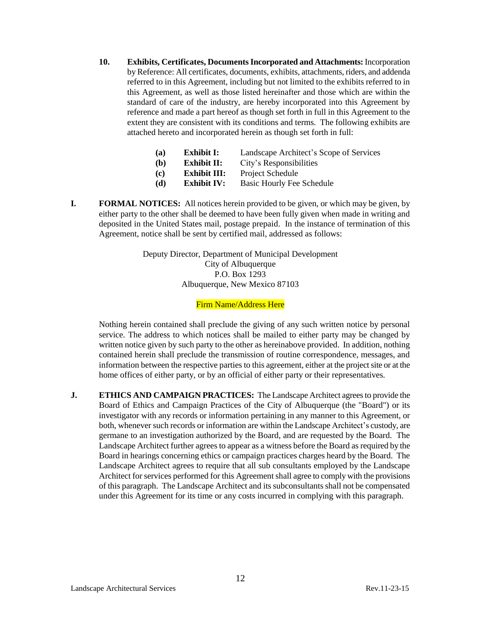**10. Exhibits, Certificates, Documents Incorporated and Attachments:** Incorporation by Reference: All certificates, documents, exhibits, attachments, riders, and addenda referred to in this Agreement, including but not limited to the exhibits referred to in this Agreement, as well as those listed hereinafter and those which are within the standard of care of the industry, are hereby incorporated into this Agreement by reference and made a part hereof as though set forth in full in this Agreement to the extent they are consistent with its conditions and terms. The following exhibits are attached hereto and incorporated herein as though set forth in full:

| (a) | <b>Exhibit I:</b>  | Landscape Architect's Scope of Services |
|-----|--------------------|-----------------------------------------|
| (b) | Exhibit II:        | City's Responsibilities                 |
| (c) | Exhibit III:       | Project Schedule                        |
| (d) | <b>Exhibit IV:</b> | <b>Basic Hourly Fee Schedule</b>        |
|     |                    |                                         |

**I. FORMAL NOTICES:** All notices herein provided to be given, or which may be given, by either party to the other shall be deemed to have been fully given when made in writing and deposited in the United States mail, postage prepaid. In the instance of termination of this Agreement, notice shall be sent by certified mail, addressed as follows:

> Deputy Director, Department of Municipal Development City of Albuquerque P.O. Box 1293 Albuquerque, New Mexico 87103

#### Firm Name/Address Here

Nothing herein contained shall preclude the giving of any such written notice by personal service. The address to which notices shall be mailed to either party may be changed by written notice given by such party to the other as hereinabove provided. In addition, nothing contained herein shall preclude the transmission of routine correspondence, messages, and information between the respective parties to this agreement, either at the project site or at the home offices of either party, or by an official of either party or their representatives.

**J. ETHICS AND CAMPAIGN PRACTICES:** The Landscape Architect agrees to provide the Board of Ethics and Campaign Practices of the City of Albuquerque (the "Board") or its investigator with any records or information pertaining in any manner to this Agreement, or both, whenever such records or information are within the Landscape Architect's custody, are germane to an investigation authorized by the Board, and are requested by the Board. The Landscape Architect further agrees to appear as a witness before the Board as required by the Board in hearings concerning ethics or campaign practices charges heard by the Board. The Landscape Architect agrees to require that all sub consultants employed by the Landscape Architect for services performed for this Agreement shall agree to comply with the provisions of this paragraph. The Landscape Architect and its subconsultants shall not be compensated under this Agreement for its time or any costs incurred in complying with this paragraph.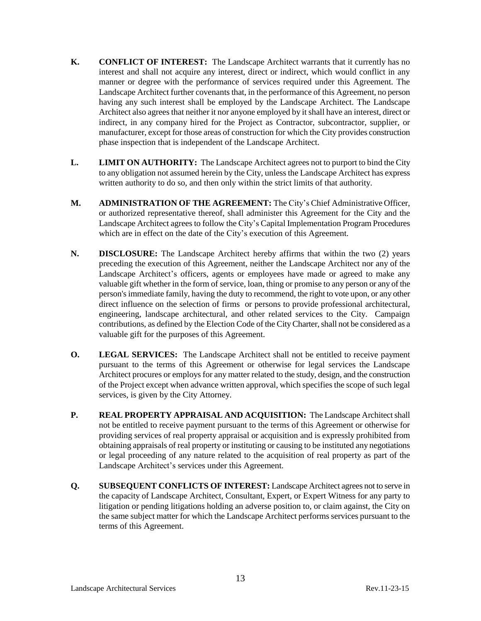- **K. CONFLICT OF INTEREST:** The Landscape Architect warrants that it currently has no interest and shall not acquire any interest, direct or indirect, which would conflict in any manner or degree with the performance of services required under this Agreement. The Landscape Architect further covenants that, in the performance of this Agreement, no person having any such interest shall be employed by the Landscape Architect. The Landscape Architect also agrees that neither it nor anyone employed by it shall have an interest, direct or indirect, in any company hired for the Project as Contractor, subcontractor, supplier, or manufacturer, except for those areas of construction for which the City provides construction phase inspection that is independent of the Landscape Architect.
- **L. LIMIT ON AUTHORITY:** The Landscape Architect agrees not to purport to bind the City to any obligation not assumed herein by the City, unless the Landscape Architect has express written authority to do so, and then only within the strict limits of that authority.
- **M. ADMINISTRATION OF THE AGREEMENT:** The City's Chief Administrative Officer, or authorized representative thereof, shall administer this Agreement for the City and the Landscape Architect agrees to follow the City's Capital Implementation Program Procedures which are in effect on the date of the City's execution of this Agreement.
- **N. DISCLOSURE:** The Landscape Architect hereby affirms that within the two (2) years preceding the execution of this Agreement, neither the Landscape Architect nor any of the Landscape Architect's officers, agents or employees have made or agreed to make any valuable gift whether in the form of service, loan, thing or promise to any person or any of the person's immediate family, having the duty to recommend, the right to vote upon, or any other direct influence on the selection of firms or persons to provide professional architectural, engineering, landscape architectural, and other related services to the City. Campaign contributions, as defined by the Election Code of the CityCharter, shall not be considered as a valuable gift for the purposes of this Agreement.
- **O. LEGAL SERVICES:** The Landscape Architect shall not be entitled to receive payment pursuant to the terms of this Agreement or otherwise for legal services the Landscape Architect procures or employs for any matter related to the study, design, and the construction of the Project except when advance written approval, which specifies the scope of such legal services, is given by the City Attorney.
- **P. REAL PROPERTY APPRAISAL AND ACQUISITION:** The Landscape Architectshall not be entitled to receive payment pursuant to the terms of this Agreement or otherwise for providing services of real property appraisal or acquisition and is expressly prohibited from obtaining appraisals of real property or instituting or causing to be instituted any negotiations or legal proceeding of any nature related to the acquisition of real property as part of the Landscape Architect's services under this Agreement.
- **Q. SUBSEQUENT CONFLICTS OF INTEREST:** Landscape Architect agrees not to serve in the capacity of Landscape Architect, Consultant, Expert, or Expert Witness for any party to litigation or pending litigations holding an adverse position to, or claim against, the City on the same subject matter for which the Landscape Architect performs services pursuant to the terms of this Agreement.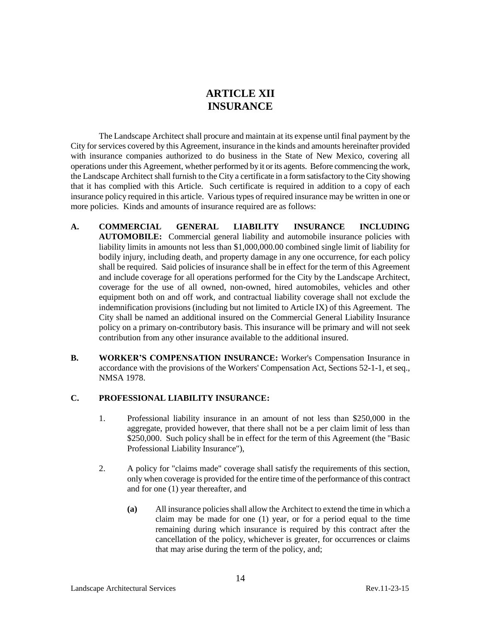# **ARTICLE XII INSURANCE**

The Landscape Architect shall procure and maintain at its expense until final payment by the City for services covered by this Agreement, insurance in the kinds and amounts hereinafter provided with insurance companies authorized to do business in the State of New Mexico, covering all operations under this Agreement, whether performed by it or its agents. Before commencing the work, the Landscape Architect shall furnish to the City a certificate in a form satisfactory to the City showing that it has complied with this Article. Such certificate is required in addition to a copy of each insurance policy required in this article. Various types of required insurance may be written in one or more policies. Kinds and amounts of insurance required are as follows:

- **A. COMMERCIAL GENERAL LIABILITY INSURANCE INCLUDING AUTOMOBILE:** Commercial general liability and automobile insurance policies with liability limits in amounts not less than \$1,000,000.00 combined single limit of liability for bodily injury, including death, and property damage in any one occurrence, for each policy shall be required. Said policies of insurance shall be in effect for the term of this Agreement and include coverage for all operations performed for the City by the Landscape Architect, coverage for the use of all owned, non-owned, hired automobiles, vehicles and other equipment both on and off work, and contractual liability coverage shall not exclude the indemnification provisions (including but not limited to Article IX) of this Agreement. The City shall be named an additional insured on the Commercial General Liability Insurance policy on a primary on-contributory basis. This insurance will be primary and will not seek contribution from any other insurance available to the additional insured.
- **B. WORKER'S COMPENSATION INSURANCE:** Worker's Compensation Insurance in accordance with the provisions of the Workers' Compensation Act, Sections 52-1-1, et seq., NMSA 1978.

#### **C. PROFESSIONAL LIABILITY INSURANCE:**

- 1. Professional liability insurance in an amount of not less than \$250,000 in the aggregate, provided however, that there shall not be a per claim limit of less than \$250,000. Such policy shall be in effect for the term of this Agreement (the "Basic Professional Liability Insurance"),
- 2. A policy for "claims made" coverage shall satisfy the requirements of this section, only when coverage is provided for the entire time of the performance of this contract and for one (1) year thereafter, and
	- **(a)** All insurance policies shall allow the Architect to extend the time in which a claim may be made for one (1) year, or for a period equal to the time remaining during which insurance is required by this contract after the cancellation of the policy, whichever is greater, for occurrences or claims that may arise during the term of the policy, and;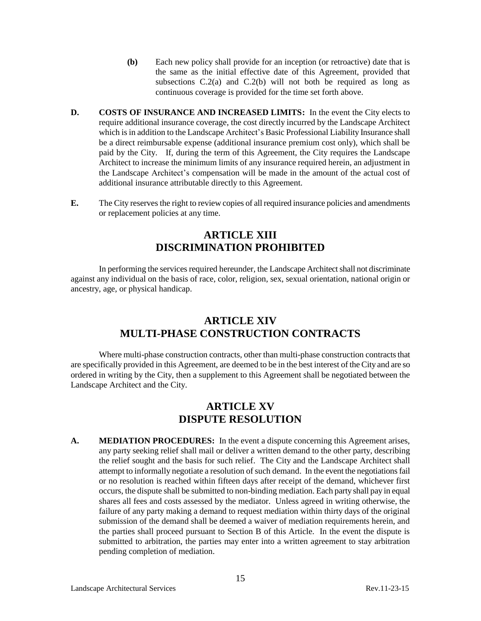- **(b)** Each new policy shall provide for an inception (or retroactive) date that is the same as the initial effective date of this Agreement, provided that subsections  $C.2(a)$  and  $C.2(b)$  will not both be required as long as continuous coverage is provided for the time set forth above.
- **D. COSTS OF INSURANCE AND INCREASED LIMITS:** In the event the City elects to require additional insurance coverage, the cost directly incurred by the Landscape Architect which is in addition to the Landscape Architect's Basic Professional Liability Insurance shall be a direct reimbursable expense (additional insurance premium cost only), which shall be paid by the City. If, during the term of this Agreement, the City requires the Landscape Architect to increase the minimum limits of any insurance required herein, an adjustment in the Landscape Architect's compensation will be made in the amount of the actual cost of additional insurance attributable directly to this Agreement.
- **E.** The City reserves the right to review copies of all required insurance policies and amendments or replacement policies at any time.

# **ARTICLE XIII DISCRIMINATION PROHIBITED**

In performing the services required hereunder, the Landscape Architect shall not discriminate against any individual on the basis of race, color, religion, sex, sexual orientation, national origin or ancestry, age, or physical handicap.

## **ARTICLE XIV MULTI-PHASE CONSTRUCTION CONTRACTS**

Where multi-phase construction contracts, other than multi-phase construction contracts that are specifically provided in this Agreement, are deemed to be in the best interest of the City and are so ordered in writing by the City, then a supplement to this Agreement shall be negotiated between the Landscape Architect and the City.

# **ARTICLE XV DISPUTE RESOLUTION**

**A. MEDIATION PROCEDURES:** In the event a dispute concerning this Agreement arises, any party seeking relief shall mail or deliver a written demand to the other party, describing the relief sought and the basis for such relief. The City and the Landscape Architect shall attempt to informally negotiate a resolution of such demand. In the event the negotiations fail or no resolution is reached within fifteen days after receipt of the demand, whichever first occurs, the dispute shall be submitted to non-binding mediation. Each party shall pay in equal shares all fees and costs assessed by the mediator. Unless agreed in writing otherwise, the failure of any party making a demand to request mediation within thirty days of the original submission of the demand shall be deemed a waiver of mediation requirements herein, and the parties shall proceed pursuant to Section B of this Article. In the event the dispute is submitted to arbitration, the parties may enter into a written agreement to stay arbitration pending completion of mediation.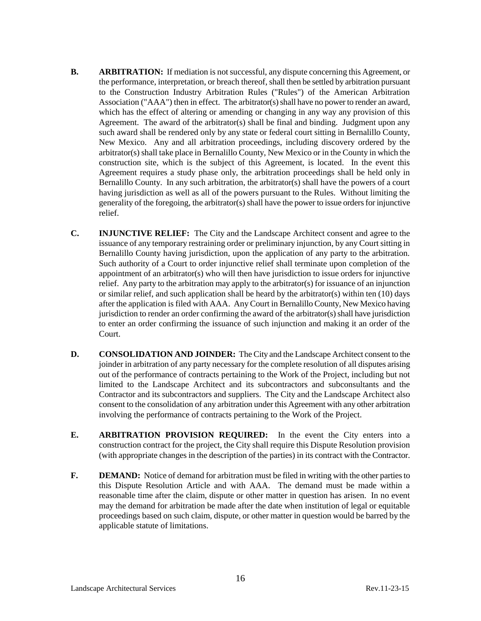- **B. ARBITRATION:** If mediation is not successful, any dispute concerning this Agreement, or the performance, interpretation, or breach thereof, shall then be settled by arbitration pursuant to the Construction Industry Arbitration Rules ("Rules") of the American Arbitration Association ("AAA") then in effect. The arbitrator(s) shall have no power to render an award, which has the effect of altering or amending or changing in any way any provision of this Agreement. The award of the arbitrator(s) shall be final and binding. Judgment upon any such award shall be rendered only by any state or federal court sitting in Bernalillo County, New Mexico. Any and all arbitration proceedings, including discovery ordered by the arbitrator(s) shall take place in Bernalillo County, New Mexico or in the County in which the construction site, which is the subject of this Agreement, is located. In the event this Agreement requires a study phase only, the arbitration proceedings shall be held only in Bernalillo County. In any such arbitration, the arbitrator(s) shall have the powers of a court having jurisdiction as well as all of the powers pursuant to the Rules. Without limiting the generality of the foregoing, the arbitrator(s) shall have the power to issue orders for injunctive relief.
- **C. INJUNCTIVE RELIEF:** The City and the Landscape Architect consent and agree to the issuance of any temporary restraining order or preliminary injunction, by any Court sitting in Bernalillo County having jurisdiction, upon the application of any party to the arbitration. Such authority of a Court to order injunctive relief shall terminate upon completion of the appointment of an arbitrator(s) who will then have jurisdiction to issue orders for injunctive relief. Any party to the arbitration may apply to the arbitrator(s) for issuance of an injunction or similar relief, and such application shall be heard by the arbitrator(s) within ten (10) days after the application is filed with AAA. Any Court in Bernalillo County, New Mexico having jurisdiction to render an order confirming the award of the arbitrator(s) shall have jurisdiction to enter an order confirming the issuance of such injunction and making it an order of the Court.
- **D. CONSOLIDATION AND JOINDER:** The City and the Landscape Architect consent to the joinder in arbitration of any party necessary for the complete resolution of all disputes arising out of the performance of contracts pertaining to the Work of the Project, including but not limited to the Landscape Architect and its subcontractors and subconsultants and the Contractor and its subcontractors and suppliers. The City and the Landscape Architect also consent to the consolidation of any arbitration under this Agreement with any other arbitration involving the performance of contracts pertaining to the Work of the Project.
- **E. ARBITRATION PROVISION REQUIRED:** In the event the City enters into a construction contract for the project, the City shall require this Dispute Resolution provision (with appropriate changes in the description of the parties) in its contract with the Contractor.
- **F. DEMAND:** Notice of demand for arbitration must be filed in writing with the other parties to this Dispute Resolution Article and with AAA. The demand must be made within a reasonable time after the claim, dispute or other matter in question has arisen. In no event may the demand for arbitration be made after the date when institution of legal or equitable proceedings based on such claim, dispute, or other matter in question would be barred by the applicable statute of limitations.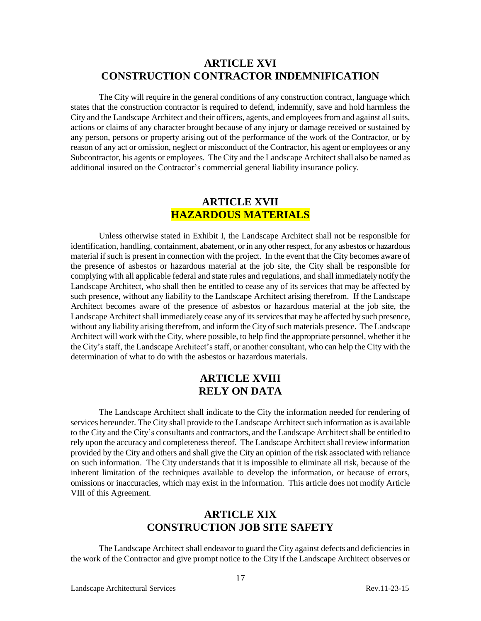### **ARTICLE XVI CONSTRUCTION CONTRACTOR INDEMNIFICATION**

The City will require in the general conditions of any construction contract, language which states that the construction contractor is required to defend, indemnify, save and hold harmless the City and the Landscape Architect and their officers, agents, and employees from and against all suits, actions or claims of any character brought because of any injury or damage received or sustained by any person, persons or property arising out of the performance of the work of the Contractor, or by reason of any act or omission, neglect or misconduct of the Contractor, his agent or employees or any Subcontractor, his agents or employees. The City and the Landscape Architect shall also be named as additional insured on the Contractor's commercial general liability insurance policy.

### **ARTICLE XVII HAZARDOUS MATERIALS**

Unless otherwise stated in Exhibit I, the Landscape Architect shall not be responsible for identification, handling, containment, abatement, or in any other respect, for any asbestos or hazardous material if such is present in connection with the project. In the event that the City becomes aware of the presence of asbestos or hazardous material at the job site, the City shall be responsible for complying with all applicable federal and state rules and regulations, and shall immediately notify the Landscape Architect, who shall then be entitled to cease any of its services that may be affected by such presence, without any liability to the Landscape Architect arising therefrom. If the Landscape Architect becomes aware of the presence of asbestos or hazardous material at the job site, the Landscape Architect shall immediately cease any of its services that may be affected by such presence, without any liability arising therefrom, and inform the City of such materials presence. The Landscape Architect will work with the City, where possible, to help find the appropriate personnel, whether it be the City'sstaff, the Landscape Architect'sstaff, or another consultant, who can help the City with the determination of what to do with the asbestos or hazardous materials.

### **ARTICLE XVIII RELY ON DATA**

The Landscape Architect shall indicate to the City the information needed for rendering of services hereunder. The City shall provide to the Landscape Architect such information as is available to the City and the City's consultants and contractors, and the Landscape Architect shall be entitled to rely upon the accuracy and completeness thereof. The Landscape Architect shall review information provided by the City and others and shall give the City an opinion of the risk associated with reliance on such information. The City understands that it is impossible to eliminate all risk, because of the inherent limitation of the techniques available to develop the information, or because of errors, omissions or inaccuracies, which may exist in the information. This article does not modify Article VIII of this Agreement.

## **ARTICLE XIX CONSTRUCTION JOB SITE SAFETY**

The Landscape Architect shall endeavor to guard the City against defects and deficiencies in the work of the Contractor and give prompt notice to the City if the Landscape Architect observes or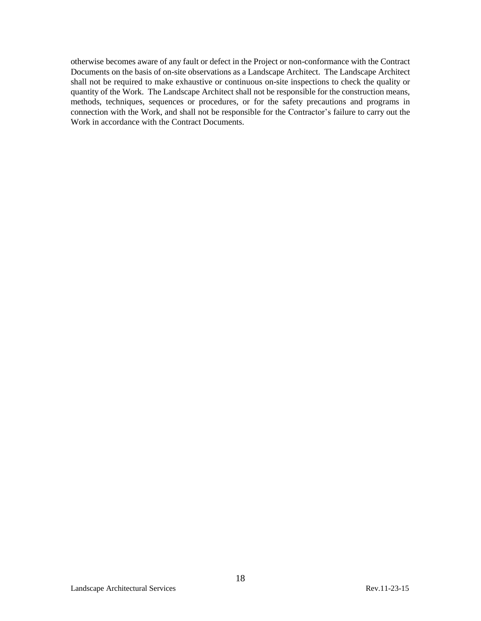otherwise becomes aware of any fault or defect in the Project or non-conformance with the Contract Documents on the basis of on-site observations as a Landscape Architect. The Landscape Architect shall not be required to make exhaustive or continuous on-site inspections to check the quality or quantity of the Work. The Landscape Architect shall not be responsible for the construction means, methods, techniques, sequences or procedures, or for the safety precautions and programs in connection with the Work, and shall not be responsible for the Contractor's failure to carry out the Work in accordance with the Contract Documents.